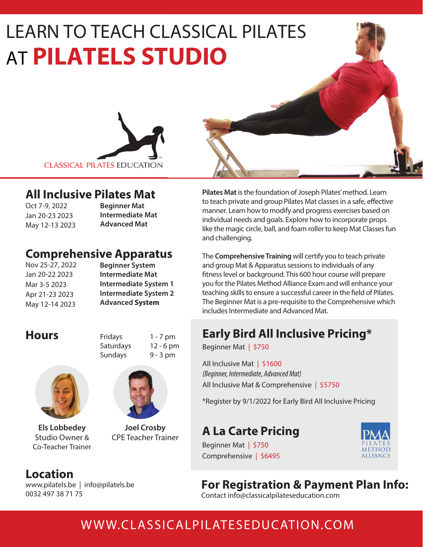# LEARN TO TEACH CLASSICAL PILATES **AT PILATELS STUDIO TEACH PILATE**



#### **All Inclusive Pilates Mat**

Oct 7-9, 2022 Jan 20-23 2023 May 12-13 2023 **Beginner Mat Intermediate Mat Advanced Mat** 

## **Comprehensive Apparatus**

Nov 25-27, 2022 Jan 20-22 2023 Mar 3-5 2023 Apr 21-23 2023 May 12-14 2023

**Beginner System Intermediate Mat Intermediate System 1 Intermediate System 2 Advanced System**

**Hours** Fridays 1 - 7 pm Saturdays 12 - 6 pm Sundays 9 - 3 pm



**Els Lobbedey** Studio Owner & Co-Teacher Trainer

### **Location**

www.pilatels.be | info@pilatels.be 0032 497 38 71 75



**Joel Crosby** CPE Teacher Trainer **Pilates Mat** is the foundation of Joseph Pilates' method. Learn to teach private and group Pilates Mat classes in a safe, effective manner. Learn how to modify and progress exercises based on individual needs and goals. Explore how to incorporate props like the magic circle, ball, and foam roller to keep Mat Classes fun and challenging.

The **Comprehensive Training** will certify you to teach private and group Mat & Apparatus sessions to individuals of any fitness level or background. This 600 hour course will prepare you for the Pilates Method Alliance Exam and will enhance your teaching skills to ensure a successful career in the field of Pilates. The Beginner Mat is a pre-requisite to the Comprehensive which includes Intermediate and Advanced Mat.

# **Early Bird All Inclusive Pricing\***

Beginner Mat | \$750

All Inclusive Mat | \$1600 *(Beginner, Intermediate, Advanced Mat)*  All Inclusive Mat & Comprehensive | \$5750

\*Register by 9/1/2022 for Early Bird All Inclusive Pricing

# **A La Carte Pricing**



Beginner Mat | \$ Comprehensive | \$6495

# **For Registration & Payment Plan Info:**

Contact info@classicalpilateseducation.com

# WWW.CLASSICALPILATESEDUCATION.COM